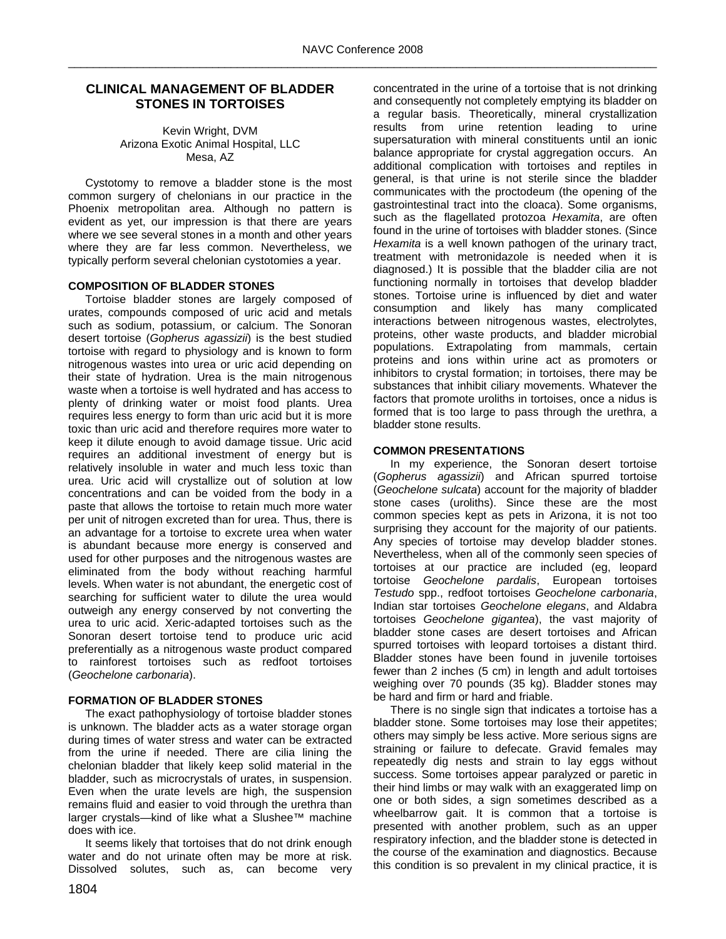# **CLINICAL MANAGEMENT OF BLADDER STONES IN TORTOISES**

Kevin Wright, DVM Arizona Exotic Animal Hospital, LLC Mesa, AZ

Cystotomy to remove a bladder stone is the most common surgery of chelonians in our practice in the Phoenix metropolitan area. Although no pattern is evident as yet, our impression is that there are years where we see several stones in a month and other years where they are far less common. Nevertheless, we typically perform several chelonian cystotomies a year.

# **COMPOSITION OF BLADDER STONES**

Tortoise bladder stones are largely composed of urates, compounds composed of uric acid and metals such as sodium, potassium, or calcium. The Sonoran desert tortoise (*Gopherus agassizii*) is the best studied tortoise with regard to physiology and is known to form nitrogenous wastes into urea or uric acid depending on their state of hydration. Urea is the main nitrogenous waste when a tortoise is well hydrated and has access to plenty of drinking water or moist food plants. Urea requires less energy to form than uric acid but it is more toxic than uric acid and therefore requires more water to keep it dilute enough to avoid damage tissue. Uric acid requires an additional investment of energy but is relatively insoluble in water and much less toxic than urea. Uric acid will crystallize out of solution at low concentrations and can be voided from the body in a paste that allows the tortoise to retain much more water per unit of nitrogen excreted than for urea. Thus, there is an advantage for a tortoise to excrete urea when water is abundant because more energy is conserved and used for other purposes and the nitrogenous wastes are eliminated from the body without reaching harmful levels. When water is not abundant, the energetic cost of searching for sufficient water to dilute the urea would outweigh any energy conserved by not converting the urea to uric acid. Xeric-adapted tortoises such as the Sonoran desert tortoise tend to produce uric acid preferentially as a nitrogenous waste product compared to rainforest tortoises such as redfoot tortoises (*Geochelone carbonaria*).

# **FORMATION OF BLADDER STONES**

The exact pathophysiology of tortoise bladder stones is unknown. The bladder acts as a water storage organ during times of water stress and water can be extracted from the urine if needed. There are cilia lining the chelonian bladder that likely keep solid material in the bladder, such as microcrystals of urates, in suspension. Even when the urate levels are high, the suspension remains fluid and easier to void through the urethra than larger crystals—kind of like what a Slushee™ machine does with ice.

It seems likely that tortoises that do not drink enough water and do not urinate often may be more at risk. Dissolved solutes, such as, can become very concentrated in the urine of a tortoise that is not drinking and consequently not completely emptying its bladder on a regular basis. Theoretically, mineral crystallization results from urine retention leading to urine supersaturation with mineral constituents until an ionic balance appropriate for crystal aggregation occurs. An additional complication with tortoises and reptiles in general, is that urine is not sterile since the bladder communicates with the proctodeum (the opening of the gastrointestinal tract into the cloaca). Some organisms, such as the flagellated protozoa *Hexamita*, are often found in the urine of tortoises with bladder stones. (Since *Hexamita* is a well known pathogen of the urinary tract, treatment with metronidazole is needed when it is diagnosed.) It is possible that the bladder cilia are not functioning normally in tortoises that develop bladder stones. Tortoise urine is influenced by diet and water consumption and likely has many complicated interactions between nitrogenous wastes, electrolytes, proteins, other waste products, and bladder microbial populations. Extrapolating from mammals, certain proteins and ions within urine act as promoters or inhibitors to crystal formation; in tortoises, there may be substances that inhibit ciliary movements. Whatever the factors that promote uroliths in tortoises, once a nidus is formed that is too large to pass through the urethra, a bladder stone results.

### **COMMON PRESENTATIONS**

In my experience, the Sonoran desert tortoise (*Gopherus agassizii*) and African spurred tortoise (*Geochelone sulcata*) account for the majority of bladder stone cases (uroliths). Since these are the most common species kept as pets in Arizona, it is not too surprising they account for the majority of our patients. Any species of tortoise may develop bladder stones. Nevertheless, when all of the commonly seen species of tortoises at our practice are included (eg, leopard tortoise *Geochelone pardalis*, European tortoises *Testudo* spp., redfoot tortoises *Geochelone carbonaria*, Indian star tortoises *Geochelone elegans*, and Aldabra tortoises *Geochelone gigantea*), the vast majority of bladder stone cases are desert tortoises and African spurred tortoises with leopard tortoises a distant third. Bladder stones have been found in juvenile tortoises fewer than 2 inches (5 cm) in length and adult tortoises weighing over 70 pounds (35 kg). Bladder stones may be hard and firm or hard and friable.

There is no single sign that indicates a tortoise has a bladder stone. Some tortoises may lose their appetites; others may simply be less active. More serious signs are straining or failure to defecate. Gravid females mav repeatedly dig nests and strain to lay eggs without success. Some tortoises appear paralyzed or paretic in their hind limbs or may walk with an exaggerated limp on one or both sides, a sign sometimes described as a wheelbarrow gait. It is common that a tortoise is presented with another problem, such as an upper respiratory infection, and the bladder stone is detected in the course of the examination and diagnostics. Because this condition is so prevalent in my clinical practice, it is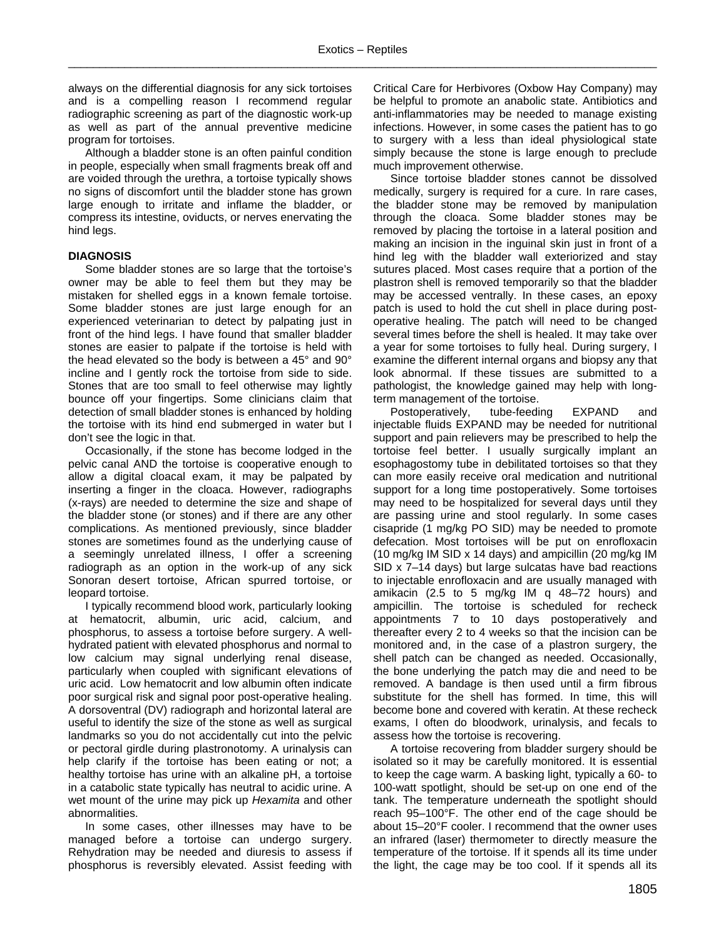always on the differential diagnosis for any sick tortoises and is a compelling reason I recommend regular radiographic screening as part of the diagnostic work-up as well as part of the annual preventive medicine program for tortoises.

Although a bladder stone is an often painful condition in people, especially when small fragments break off and are voided through the urethra, a tortoise typically shows no signs of discomfort until the bladder stone has grown large enough to irritate and inflame the bladder, or compress its intestine, oviducts, or nerves enervating the hind legs.

### **DIAGNOSIS**

Some bladder stones are so large that the tortoise's owner may be able to feel them but they may be mistaken for shelled eggs in a known female tortoise. Some bladder stones are just large enough for an experienced veterinarian to detect by palpating just in front of the hind legs. I have found that smaller bladder stones are easier to palpate if the tortoise is held with the head elevated so the body is between a 45° and 90° incline and I gently rock the tortoise from side to side. Stones that are too small to feel otherwise may lightly bounce off your fingertips. Some clinicians claim that detection of small bladder stones is enhanced by holding the tortoise with its hind end submerged in water but I don't see the logic in that.

Occasionally, if the stone has become lodged in the pelvic canal AND the tortoise is cooperative enough to allow a digital cloacal exam, it may be palpated by inserting a finger in the cloaca. However, radiographs (x-rays) are needed to determine the size and shape of the bladder stone (or stones) and if there are any other complications. As mentioned previously, since bladder stones are sometimes found as the underlying cause of a seemingly unrelated illness, I offer a screening radiograph as an option in the work-up of any sick Sonoran desert tortoise, African spurred tortoise, or leopard tortoise.

I typically recommend blood work, particularly looking at hematocrit, albumin, uric acid, calcium, and phosphorus, to assess a tortoise before surgery. A wellhydrated patient with elevated phosphorus and normal to low calcium may signal underlying renal disease, particularly when coupled with significant elevations of uric acid. Low hematocrit and low albumin often indicate poor surgical risk and signal poor post-operative healing. A dorsoventral (DV) radiograph and horizontal lateral are useful to identify the size of the stone as well as surgical landmarks so you do not accidentally cut into the pelvic or pectoral girdle during plastronotomy. A urinalysis can help clarify if the tortoise has been eating or not; a healthy tortoise has urine with an alkaline pH, a tortoise in a catabolic state typically has neutral to acidic urine. A wet mount of the urine may pick up *Hexamita* and other abnormalities.

In some cases, other illnesses may have to be managed before a tortoise can undergo surgery. Rehydration may be needed and diuresis to assess if phosphorus is reversibly elevated. Assist feeding with

Critical Care for Herbivores (Oxbow Hay Company) may be helpful to promote an anabolic state. Antibiotics and anti-inflammatories may be needed to manage existing infections. However, in some cases the patient has to go to surgery with a less than ideal physiological state simply because the stone is large enough to preclude much improvement otherwise.

Since tortoise bladder stones cannot be dissolved medically, surgery is required for a cure. In rare cases, the bladder stone may be removed by manipulation through the cloaca. Some bladder stones may be removed by placing the tortoise in a lateral position and making an incision in the inguinal skin just in front of a hind leg with the bladder wall exteriorized and stay sutures placed. Most cases require that a portion of the plastron shell is removed temporarily so that the bladder may be accessed ventrally. In these cases, an epoxy patch is used to hold the cut shell in place during postoperative healing. The patch will need to be changed several times before the shell is healed. It may take over a year for some tortoises to fully heal. During surgery, I examine the different internal organs and biopsy any that look abnormal. If these tissues are submitted to a pathologist, the knowledge gained may help with longterm management of the tortoise.

Postoperatively, tube-feeding EXPAND and injectable fluids EXPAND may be needed for nutritional support and pain relievers may be prescribed to help the tortoise feel better. I usually surgically implant an esophagostomy tube in debilitated tortoises so that they can more easily receive oral medication and nutritional support for a long time postoperatively. Some tortoises may need to be hospitalized for several days until they are passing urine and stool regularly. In some cases cisapride (1 mg/kg PO SID) may be needed to promote defecation. Most tortoises will be put on enrofloxacin (10 mg/kg IM SID x 14 days) and ampicillin (20 mg/kg IM SID x 7–14 days) but large sulcatas have bad reactions to injectable enrofloxacin and are usually managed with amikacin (2.5 to 5 mg/kg IM q 48–72 hours) and ampicillin. The tortoise is scheduled for recheck appointments 7 to 10 days postoperatively and thereafter every 2 to 4 weeks so that the incision can be monitored and, in the case of a plastron surgery, the shell patch can be changed as needed. Occasionally, the bone underlying the patch may die and need to be removed. A bandage is then used until a firm fibrous substitute for the shell has formed. In time, this will become bone and covered with keratin. At these recheck exams, I often do bloodwork, urinalysis, and fecals to assess how the tortoise is recovering.

A tortoise recovering from bladder surgery should be isolated so it may be carefully monitored. It is essential to keep the cage warm. A basking light, typically a 60- to 100-watt spotlight, should be set-up on one end of the tank. The temperature underneath the spotlight should reach 95–100°F. The other end of the cage should be about 15–20°F cooler. I recommend that the owner uses an infrared (laser) thermometer to directly measure the temperature of the tortoise. If it spends all its time under the light, the cage may be too cool. If it spends all its